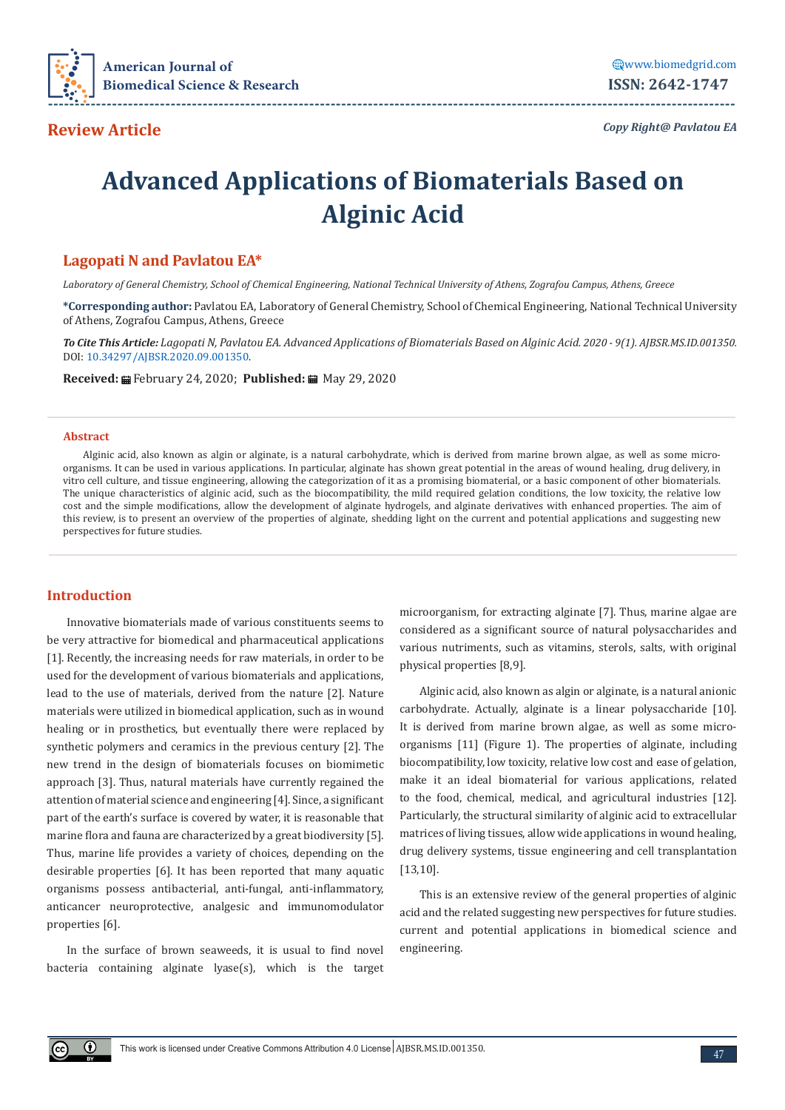

*Copy Right@ Pavlatou EA*

# **Advanced Applications of Biomaterials Based on Alginic Acid**

# **Lagopati N and Pavlatou EA\***

*Laboratory of General Chemistry, School of Chemical Engineering, National Technical University of Athens, Zografou Campus, Athens, Greece*

**\*Corresponding author:** Pavlatou EA, Laboratory of General Chemistry, School of Chemical Engineering, National Technical University of Athens, Zografou Campus, Athens, Greece

*To Cite This Article: Lagopati N, Pavlatou EA. Advanced Applications of Biomaterials Based on Alginic Acid. 2020 - 9(1). AJBSR.MS.ID.001350.*  DOI: [10.34297/AJBSR.2020.09.001350.](http://dx.doi.org/10.34297/AJBSR.2020.09.001350)

**Received:** February 24, 2020; **Published:** May 29, 2020

#### **Abstract**

Alginic acid, also known as algin or alginate, is a natural carbohydrate, which is derived from marine brown algae, as well as some microorganisms. It can be used in various applications. In particular, alginate has shown great potential in the areas of wound healing, drug delivery, in vitro cell culture, and tissue engineering, allowing the categorization of it as a promising biomaterial, or a basic component of other biomaterials. The unique characteristics of alginic acid, such as the biocompatibility, the mild required gelation conditions, the low toxicity, the relative low cost and the simple modifications, allow the development of alginate hydrogels, and alginate derivatives with enhanced properties. The aim of this review, is to present an overview of the properties of alginate, shedding light on the current and potential applications and suggesting new perspectives for future studies.

#### **Introduction**

 $\bigcirc$ 

Innovative biomaterials made of various constituents seems to be very attractive for biomedical and pharmaceutical applications [1]. Recently, the increasing needs for raw materials, in order to be used for the development of various biomaterials and applications, lead to the use of materials, derived from the nature [2]. Nature materials were utilized in biomedical application, such as in wound healing or in prosthetics, but eventually there were replaced by synthetic polymers and ceramics in the previous century [2]. The new trend in the design of biomaterials focuses on biomimetic approach [3]. Thus, natural materials have currently regained the attention of material science and engineering [4]. Since, a significant part of the earth's surface is covered by water, it is reasonable that marine flora and fauna are characterized by a great biodiversity [5]. Thus, marine life provides a variety of choices, depending on the desirable properties [6]. It has been reported that many aquatic organisms possess antibacterial, anti-fungal, anti-inflammatory, anticancer neuroprotective, analgesic and immunomodulator properties [6].

In the surface of brown seaweeds, it is usual to find novel bacteria containing alginate lyase(s), which is the target

microorganism, for extracting alginate [7]. Thus, marine algae are considered as a significant source of natural polysaccharides and various nutriments, such as vitamins, sterols, salts, with original physical properties [8,9].

Alginic acid, also known as algin or alginate, is a natural anionic carbohydrate. Actually, alginate is a linear polysaccharide [10]. It is derived from marine brown algae, as well as some microorganisms [11] (Figure 1). The properties of alginate, including biocompatibility, low toxicity, relative low cost and ease of gelation, make it an ideal biomaterial for various applications, related to the food, chemical, medical, and agricultural industries [12]. Particularly, the structural similarity of alginic acid to extracellular matrices of living tissues, allow wide applications in wound healing, drug delivery systems, tissue engineering and cell transplantation [13,10].

This is an extensive review of the general properties of alginic acid and the related suggesting new perspectives for future studies. current and potential applications in biomedical science and engineering.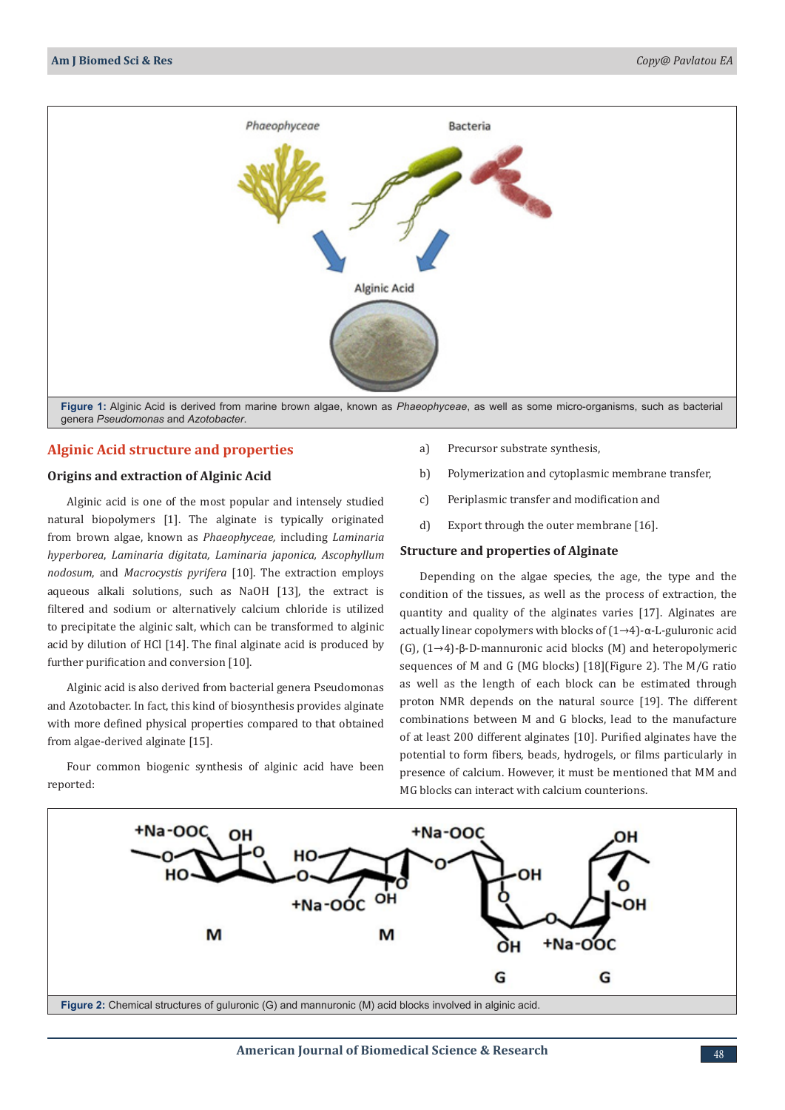

genera *Pseudomonas* and *Azotobacter*.

## **Alginic Acid structure and properties**

### **Origins and extraction of Alginic Acid**

Alginic acid is one of the most popular and intensely studied natural biopolymers [1]. The alginate is typically originated from brown algae, known as *Phaeophyceae,* including *Laminaria hyperborea*, *Laminaria digitata, Laminaria japonica, Ascophyllum nodosum*, and *Macrocystis pyrifera* [10]. The extraction employs aqueous alkali solutions, such as NaOH [13], the extract is filtered and sodium or alternatively calcium chloride is utilized to precipitate the alginic salt, which can be transformed to alginic acid by dilution of HCl [14]. The final alginate acid is produced by further purification and conversion [10].

Alginic acid is also derived from bacterial genera Pseudomonas and Azotobacter. In fact, this kind of biosynthesis provides alginate with more defined physical properties compared to that obtained from algae-derived alginate [15].

Four common biogenic synthesis of alginic acid have been reported:

- a) Precursor substrate synthesis,
- b) Polymerization and cytoplasmic membrane transfer,
- c) Periplasmic transfer and modification and
- d) Export through the outer membrane [16].

#### **Structure and properties of Alginate**

Depending on the algae species, the age, the type and the condition of the tissues, as well as the process of extraction, the quantity and quality of the alginates varies [17]. Alginates are actually linear copolymers with blocks of (1→4)-α-L-guluronic acid (G), (1→4)-β-D-mannuronic acid blocks (M) and heteropolymeric sequences of M and G (MG blocks) [18](Figure 2). The M/G ratio as well as the length of each block can be estimated through proton NMR depends on the natural source [19]. The different combinations between M and G blocks, lead to the manufacture of at least 200 different alginates [10]. Purified alginates have the potential to form fibers, beads, hydrogels, or films particularly in presence of calcium. However, it must be mentioned that MM and MG blocks can interact with calcium counterions.

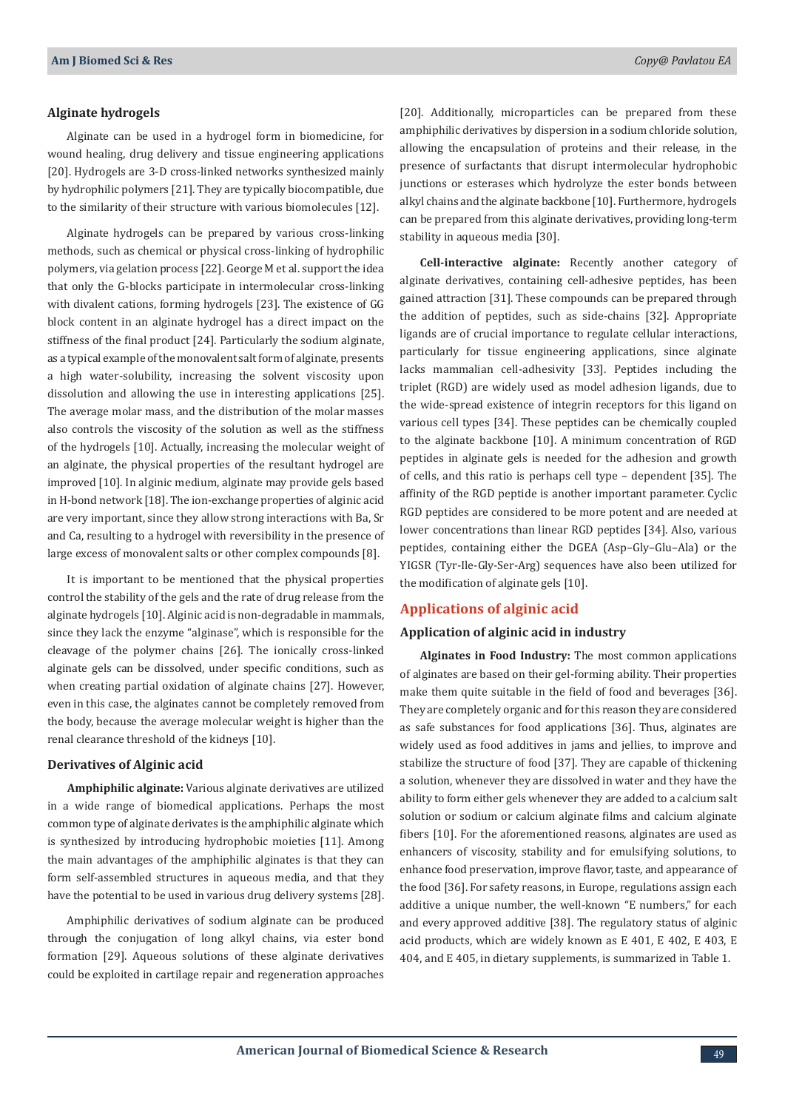#### **Alginate hydrogels**

Alginate can be used in a hydrogel form in biomedicine, for wound healing, drug delivery and tissue engineering applications [20]. Hydrogels are 3-D cross-linked networks synthesized mainly by hydrophilic polymers [21]. They are typically biocompatible, due to the similarity of their structure with various biomolecules [12].

Alginate hydrogels can be prepared by various cross-linking methods, such as chemical or physical cross-linking of hydrophilic polymers, via gelation process [22]. George M et al. support the idea that only the G-blocks participate in intermolecular cross-linking with divalent cations, forming hydrogels [23]. The existence of GG block content in an alginate hydrogel has a direct impact on the stiffness of the final product [24]. Particularly the sodium alginate, as a typical example of the monovalent salt form of alginate, presents a high water-solubility, increasing the solvent viscosity upon dissolution and allowing the use in interesting applications [25]. The average molar mass, and the distribution of the molar masses also controls the viscosity of the solution as well as the stiffness of the hydrogels [10]. Actually, increasing the molecular weight of an alginate, the physical properties of the resultant hydrogel are improved [10]. In alginic medium, alginate may provide gels based in H-bond network [18]. The ion-exchange properties of alginic acid are very important, since they allow strong interactions with Ba, Sr and Ca, resulting to a hydrogel with reversibility in the presence of large excess of monovalent salts or other complex compounds [8].

It is important to be mentioned that the physical properties control the stability of the gels and the rate of drug release from the alginate hydrogels [10]. Alginic acid is non-degradable in mammals, since they lack the enzyme "alginase", which is responsible for the cleavage of the polymer chains [26]. The ionically cross-linked alginate gels can be dissolved, under specific conditions, such as when creating partial oxidation of alginate chains [27]. However, even in this case, the alginates cannot be completely removed from the body, because the average molecular weight is higher than the renal clearance threshold of the kidneys [10].

#### **Derivatives of Alginic acid**

**Amphiphilic alginate:** Various alginate derivatives are utilized in a wide range of biomedical applications. Perhaps the most common type of alginate derivates is the amphiphilic alginate which is synthesized by introducing hydrophobic moieties [11]. Among the main advantages of the amphiphilic alginates is that they can form self-assembled structures in aqueous media, and that they have the potential to be used in various drug delivery systems [28].

Amphiphilic derivatives of sodium alginate can be produced through the conjugation of long alkyl chains, via ester bond formation [29]. Aqueous solutions of these alginate derivatives could be exploited in cartilage repair and regeneration approaches [20]. Additionally, microparticles can be prepared from these amphiphilic derivatives by dispersion in a sodium chloride solution, allowing the encapsulation of proteins and their release, in the presence of surfactants that disrupt intermolecular hydrophobic junctions or esterases which hydrolyze the ester bonds between alkyl chains and the alginate backbone [10]. Furthermore, hydrogels can be prepared from this alginate derivatives, providing long-term stability in aqueous media [30].

**Cell-interactive alginate:** Recently another category of alginate derivatives, containing cell-adhesive peptides, has been gained attraction [31]. These compounds can be prepared through the addition of peptides, such as side-chains [32]. Appropriate ligands are of crucial importance to regulate cellular interactions, particularly for tissue engineering applications, since alginate lacks mammalian cell-adhesivity [33]. Peptides including the triplet (RGD) are widely used as model adhesion ligands, due to the wide-spread existence of integrin receptors for this ligand on various cell types [34]. These peptides can be chemically coupled to the alginate backbone [10]. A minimum concentration of RGD peptides in alginate gels is needed for the adhesion and growth of cells, and this ratio is perhaps cell type – dependent [35]. The affinity of the RGD peptide is another important parameter. Cyclic RGD peptides are considered to be more potent and are needed at lower concentrations than linear RGD peptides [34]. Also, various peptides, containing either the DGEA (Asp–Gly–Glu–Ala) or the YIGSR (Tyr-Ile-Gly-Ser-Arg) sequences have also been utilized for the modification of alginate gels [10].

#### **Applications of alginic acid**

#### **Application of alginic acid in industry**

**Alginates in Food Industry:** The most common applications of alginates are based on their gel-forming ability. Their properties make them quite suitable in the field of food and beverages [36]. They are completely organic and for this reason they are considered as safe substances for food applications [36]. Thus, alginates are widely used as food additives in jams and jellies, to improve and stabilize the structure of food [37]. They are capable of thickening a solution, whenever they are dissolved in water and they have the ability to form either gels whenever they are added to a calcium salt solution or sodium or calcium alginate films and calcium alginate fibers [10]. For the aforementioned reasons, alginates are used as enhancers of viscosity, stability and for emulsifying solutions, to enhance food preservation, improve flavor, taste, and appearance of the food [36]. For safety reasons, in Europe, regulations assign each additive a unique number, the well-known "E numbers," for each and every approved additive [38]. The regulatory status of alginic acid products, which are widely known as E 401, E 402, E 403, E 404, and E 405, in dietary supplements, is summarized in Table 1.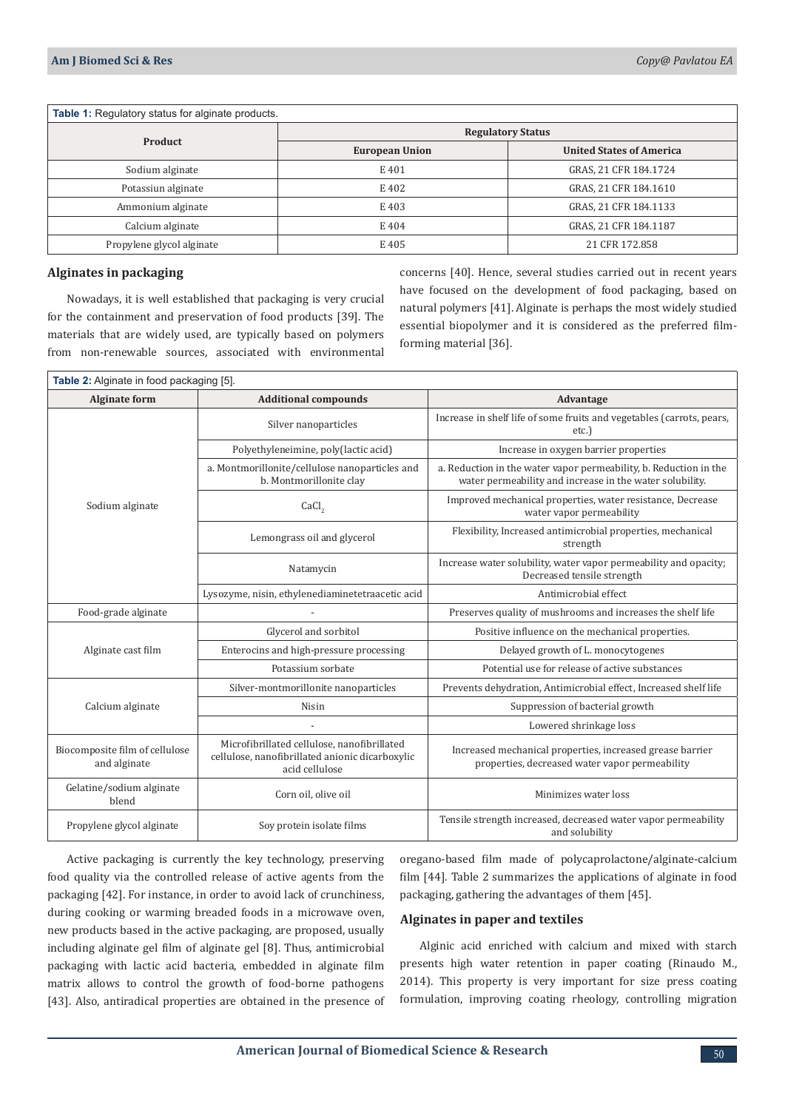| <b>Table 1:</b> Regulatory status for alginate products. |                          |                                 |  |
|----------------------------------------------------------|--------------------------|---------------------------------|--|
| <b>Product</b>                                           | <b>Regulatory Status</b> |                                 |  |
|                                                          | <b>European Union</b>    | <b>United States of America</b> |  |
| Sodium alginate                                          | E 401                    | GRAS, 21 CFR 184.1724           |  |
| Potassiun alginate                                       | E 402                    | GRAS, 21 CFR 184.1610           |  |
| Ammonium alginate                                        | E 403                    | GRAS, 21 CFR 184.1133           |  |
| Calcium alginate                                         | E 404                    | GRAS, 21 CFR 184.1187           |  |
| Propylene glycol alginate                                | E 405                    | 21 CFR 172.858                  |  |

#### **Alginates in packaging**

Nowadays, it is well established that packaging is very crucial for the containment and preservation of food products [39]. The materials that are widely used, are typically based on polymers from non-renewable sources, associated with environmental concerns [40]. Hence, several studies carried out in recent years have focused on the development of food packaging, based on natural polymers [41]. Alginate is perhaps the most widely studied essential biopolymer and it is considered as the preferred filmforming material [36].

| <b>Table 2:</b> Alginate in food packaging [5]. |                                                                                                                  |                                                                                                                               |  |
|-------------------------------------------------|------------------------------------------------------------------------------------------------------------------|-------------------------------------------------------------------------------------------------------------------------------|--|
| <b>Alginate form</b>                            | <b>Additional compounds</b>                                                                                      | Advantage                                                                                                                     |  |
| Sodium alginate                                 | Silver nanoparticles                                                                                             | Increase in shelf life of some fruits and vegetables (carrots, pears,<br>etc.)                                                |  |
|                                                 | Polyethyleneimine, poly(lactic acid)                                                                             | Increase in oxygen barrier properties                                                                                         |  |
|                                                 | a. Montmorillonite/cellulose nanoparticles and<br>b. Montmorillonite clay                                        | a. Reduction in the water vapor permeability, b. Reduction in the<br>water permeability and increase in the water solubility. |  |
|                                                 | CaCl <sub>2</sub>                                                                                                | Improved mechanical properties, water resistance, Decrease<br>water vapor permeability                                        |  |
|                                                 | Lemongrass oil and glycerol                                                                                      | Flexibility, Increased antimicrobial properties, mechanical<br>strength                                                       |  |
|                                                 | Natamycin                                                                                                        | Increase water solubility, water vapor permeability and opacity;<br>Decreased tensile strength                                |  |
|                                                 | Lysozyme, nisin, ethylenediaminetetraacetic acid                                                                 | Antimicrobial effect                                                                                                          |  |
| Food-grade alginate                             |                                                                                                                  | Preserves quality of mushrooms and increases the shelf life                                                                   |  |
| Alginate cast film                              | Glycerol and sorbitol                                                                                            | Positive influence on the mechanical properties.                                                                              |  |
|                                                 | Enterocins and high-pressure processing                                                                          | Delayed growth of L. monocytogenes                                                                                            |  |
|                                                 | Potassium sorbate                                                                                                | Potential use for release of active substances                                                                                |  |
| Calcium alginate                                | Silver-montmorillonite nanoparticles                                                                             | Prevents dehydration, Antimicrobial effect, Increased shelf life                                                              |  |
|                                                 | Nisin                                                                                                            | Suppression of bacterial growth                                                                                               |  |
|                                                 |                                                                                                                  | Lowered shrinkage loss                                                                                                        |  |
| Biocomposite film of cellulose<br>and alginate  | Microfibrillated cellulose, nanofibrillated<br>cellulose, nanofibrillated anionic dicarboxylic<br>acid cellulose | Increased mechanical properties, increased grease barrier<br>properties, decreased water vapor permeability                   |  |
| Gelatine/sodium alginate<br>blend               | Corn oil, olive oil                                                                                              | Minimizes water loss                                                                                                          |  |
| Propylene glycol alginate                       | Soy protein isolate films                                                                                        | Tensile strength increased, decreased water vapor permeability<br>and solubility                                              |  |

Active packaging is currently the key technology, preserving food quality via the controlled release of active agents from the packaging [42]. For instance, in order to avoid lack of crunchiness, during cooking or warming breaded foods in a microwave oven, new products based in the active packaging, are proposed, usually including alginate gel film of alginate gel [8]. Thus, antimicrobial packaging with lactic acid bacteria, embedded in alginate film matrix allows to control the growth of food-borne pathogens [43]. Also, antiradical properties are obtained in the presence of oregano-based film made of polycaprolactone/alginate-calcium film [44]. Table 2 summarizes the applications of alginate in food packaging, gathering the advantages of them [45].

### **Alginates in paper and textiles**

Alginic acid enriched with calcium and mixed with starch presents high water retention in paper coating (Rinaudo M., 2014). This property is very important for size press coating formulation, improving coating rheology, controlling migration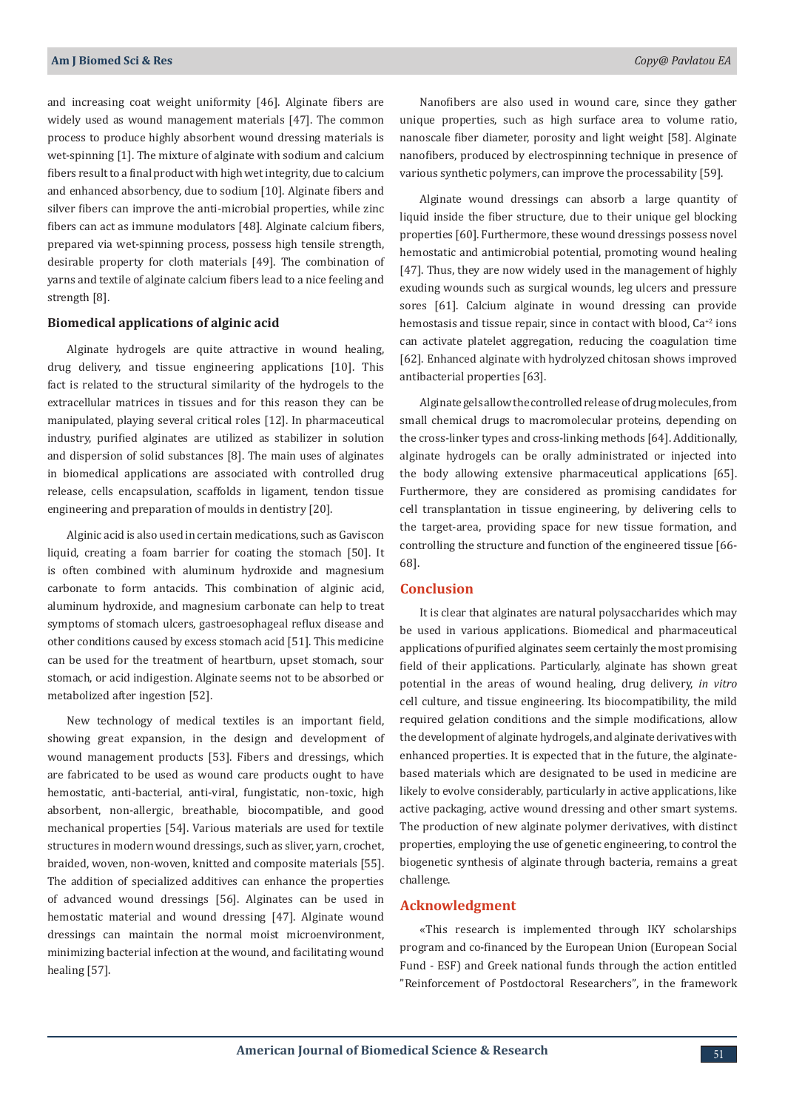and increasing coat weight uniformity [46]. Alginate fibers are widely used as wound management materials [47]. The common process to produce highly absorbent wound dressing materials is wet-spinning [1]. The mixture of alginate with sodium and calcium fibers result to a final product with high wet integrity, due to calcium and enhanced absorbency, due to sodium [10]. Alginate fibers and silver fibers can improve the anti-microbial properties, while zinc fibers can act as immune modulators [48]. Alginate calcium fibers, prepared via wet-spinning process, possess high tensile strength, desirable property for cloth materials [49]. The combination of yarns and textile of alginate calcium fibers lead to a nice feeling and strength [8].

## **Biomedical applications of alginic acid**

Alginate hydrogels are quite attractive in wound healing, drug delivery, and tissue engineering applications [10]. This fact is related to the structural similarity of the hydrogels to the extracellular matrices in tissues and for this reason they can be manipulated, playing several critical roles [12]. In pharmaceutical industry, purified alginates are utilized as stabilizer in solution and dispersion of solid substances [8]. The main uses of alginates in biomedical applications are associated with controlled drug release, cells encapsulation, scaffolds in ligament, tendon tissue engineering and preparation of moulds in dentistry [20].

Alginic acid is also used in certain medications, such as Gaviscon liquid, creating a foam barrier for coating the stomach [50]. It is often combined with aluminum hydroxide and magnesium carbonate to form antacids. This combination of alginic acid, aluminum hydroxide, and magnesium carbonate can help to treat symptoms of stomach ulcers, gastroesophageal reflux disease and other conditions caused by excess stomach acid [51]. This medicine can be used for the treatment of heartburn, upset stomach, sour stomach, or acid indigestion. Alginate seems not to be absorbed or metabolized after ingestion [52].

New technology of medical textiles is an important field, showing great expansion, in the design and development of wound management products [53]. Fibers and dressings, which are fabricated to be used as wound care products ought to have hemostatic, anti-bacterial, anti-viral, fungistatic, non-toxic, high absorbent, non-allergic, breathable, biocompatible, and good mechanical properties [54]. Various materials are used for textile structures in modern wound dressings, such as sliver, yarn, crochet, braided, woven, non-woven, knitted and composite materials [55]. The addition of specialized additives can enhance the properties of advanced wound dressings [56]. Alginates can be used in hemostatic material and wound dressing [47]. Alginate wound dressings can maintain the normal moist microenvironment, minimizing bacterial infection at the wound, and facilitating wound healing [57].

Nanofibers are also used in wound care, since they gather unique properties, such as high surface area to volume ratio, nanoscale fiber diameter, porosity and light weight [58]. Alginate nanofibers, produced by electrospinning technique in presence of various synthetic polymers, can improve the processability [59].

Alginate wound dressings can absorb a large quantity of liquid inside the fiber structure, due to their unique gel blocking properties [60]. Furthermore, these wound dressings possess novel hemostatic and antimicrobial potential, promoting wound healing [47]. Thus, they are now widely used in the management of highly exuding wounds such as surgical wounds, leg ulcers and pressure sores [61]. Calcium alginate in wound dressing can provide hemostasis and tissue repair, since in contact with blood, Ca<sup>+2</sup> ions can activate platelet aggregation, reducing the coagulation time [62]. Enhanced alginate with hydrolyzed chitosan shows improved antibacterial properties [63].

Alginate gels allow the controlled release of drug molecules, from small chemical drugs to macromolecular proteins, depending on the cross-linker types and cross-linking methods [64]. Additionally, alginate hydrogels can be orally administrated or injected into the body allowing extensive pharmaceutical applications [65]. Furthermore, they are considered as promising candidates for cell transplantation in tissue engineering, by delivering cells to the target-area, providing space for new tissue formation, and controlling the structure and function of the engineered tissue [66- 68].

### **Conclusion**

It is clear that alginates are natural polysaccharides which may be used in various applications. Biomedical and pharmaceutical applications of purified alginates seem certainly the most promising field of their applications. Particularly, alginate has shown great potential in the areas of wound healing, drug delivery, *in vitro* cell culture, and tissue engineering. Its biocompatibility, the mild required gelation conditions and the simple modifications, allow the development of alginate hydrogels, and alginate derivatives with enhanced properties. It is expected that in the future, the alginatebased materials which are designated to be used in medicine are likely to evolve considerably, particularly in active applications, like active packaging, active wound dressing and other smart systems. The production of new alginate polymer derivatives, with distinct properties, employing the use of genetic engineering, to control the biogenetic synthesis of alginate through bacteria, remains a great challenge.

#### **Acknowledgment**

«This research is implemented through IKY scholarships program and co-financed by the European Union (European Social Fund - ESF) and Greek national funds through the action entitled "Reinforcement of Postdoctoral Researchers", in the framework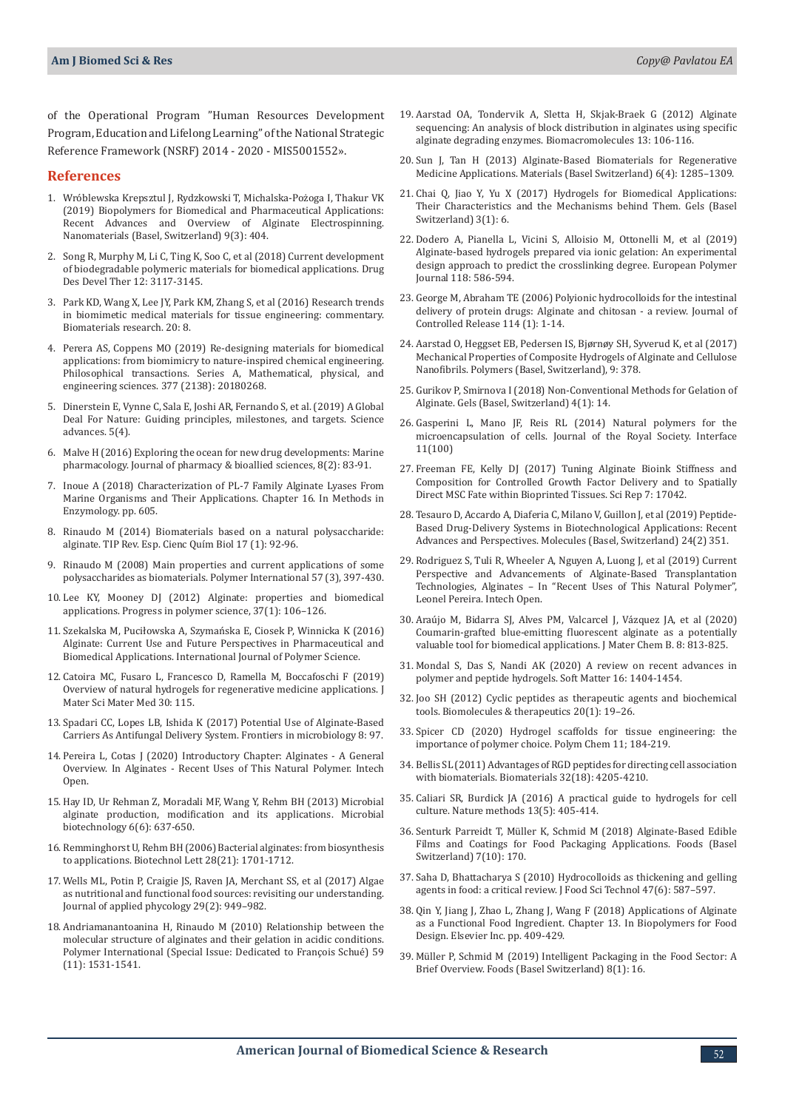of the Operational Program "Human Resources Development Program, Education and Lifelong Learning" of the National Strategic Reference Framework (NSRF) 2014 - 2020 - MIS5001552».

#### **References**

- 1. [Wróblewska Krepsztul J, Rydzkowski T, Michalska-Pożoga I, Thakur VK](https://pubmed.ncbi.nlm.nih.gov/30857370/)  [\(2019\) Biopolymers for Biomedical and Pharmaceutical Applications:](https://pubmed.ncbi.nlm.nih.gov/30857370/)  Recent Advances and Overview of Alginate Electrospinning. [Nanomaterials \(Basel, Switzerland\) 9\(3\): 404.](https://pubmed.ncbi.nlm.nih.gov/30857370/)
- 2. [Song R, Murphy M, Li C, Ting K, Soo C, et al \(2018\) Current development](https://www.ncbi.nlm.nih.gov/pmc/articles/PMC6161720/)  [of biodegradable polymeric materials for biomedical applications. Drug](https://www.ncbi.nlm.nih.gov/pmc/articles/PMC6161720/)  [Des Devel Ther 12: 3117-3145.](https://www.ncbi.nlm.nih.gov/pmc/articles/PMC6161720/)
- 3. Park KD, Wang X, Lee JY, Park KM, Zhang S, et al (2016) Research trends in biomimetic medical materials for tissue engineering: commentary. Biomaterials research. 20: 8.
- 4. [Perera AS, Coppens MO \(2019\) Re-designing materials for biomedical](https://www.semanticscholar.org/paper/Re-designing-materials-for-biomedical-applications%3A-Perera-Coppens/760ffc344ad2fb549695edc55506ecf6f3e50263)  [applications: from biomimicry to nature-inspired chemical engineering.](https://www.semanticscholar.org/paper/Re-designing-materials-for-biomedical-applications%3A-Perera-Coppens/760ffc344ad2fb549695edc55506ecf6f3e50263)  [Philosophical transactions. Series A, Mathematical, physical, and](https://www.semanticscholar.org/paper/Re-designing-materials-for-biomedical-applications%3A-Perera-Coppens/760ffc344ad2fb549695edc55506ecf6f3e50263)  [engineering sciences. 377 \(2138\): 20180268.](https://www.semanticscholar.org/paper/Re-designing-materials-for-biomedical-applications%3A-Perera-Coppens/760ffc344ad2fb549695edc55506ecf6f3e50263)
- 5. Dinerstein E, Vynne C, Sala E, Joshi AR, Fernando S, et al. (2019) A Global Deal For Nature: Guiding principles, milestones, and targets. Science advances. 5(4).
- 6. [Malve H \(2016\) Exploring the ocean for new drug developments: Marine](https://pubmed.ncbi.nlm.nih.gov/27134458/)  [pharmacology. Journal of pharmacy & bioallied sciences, 8\(2\): 83-91.](https://pubmed.ncbi.nlm.nih.gov/27134458/)
- 7. [Inoue A \(2018\) Characterization of PL-7 Family Alginate Lyases From](https://pubmed.ncbi.nlm.nih.gov/29909836/)  [Marine Organisms and Their Applications. Chapter 16. In Methods in](https://pubmed.ncbi.nlm.nih.gov/29909836/)  [Enzymology. pp. 605.](https://pubmed.ncbi.nlm.nih.gov/29909836/)
- 8. [Rinaudo M \(2014\) Biomaterials based on a natural polysaccharide:](https://www.sciencedirect.com/science/article/pii/S1405888X14703225)  [alginate. TIP Rev. Esp. Cienc Quím Biol 17 \(1\): 92-96.](https://www.sciencedirect.com/science/article/pii/S1405888X14703225)
- 9. [Rinaudo M \(2008\) Main properties and current applications of some](https://onlinelibrary.wiley.com/doi/abs/10.1002/pi.2378)  [polysaccharides as biomaterials. Polymer International 57 \(3\), 397-430.](https://onlinelibrary.wiley.com/doi/abs/10.1002/pi.2378)
- 10. [Lee KY, Mooney DJ \(2012\) Alginate: properties and biomedical](https://pubmed.ncbi.nlm.nih.gov/22125349/)  [applications. Progress in polymer science, 37\(1\): 106–126.](https://pubmed.ncbi.nlm.nih.gov/22125349/)
- 11. [Szekalska M, Puciłowska A, Szymańska E, Ciosek P, Winnicka K \(2016\)](https://www.hindawi.com/journals/ijps/2016/7697031/)  [Alginate: Current Use and Future Perspectives in Pharmaceutical and](https://www.hindawi.com/journals/ijps/2016/7697031/)  [Biomedical Applications. International Journal of Polymer Science.](https://www.hindawi.com/journals/ijps/2016/7697031/)
- 12. [Catoira MC, Fusaro L, Francesco D, Ramella M, Boccafoschi F \(2019\)](https://link.springer.com/article/10.1007/s10856-019-6318-7)  [Overview of natural hydrogels for regenerative medicine applications. J](https://link.springer.com/article/10.1007/s10856-019-6318-7)  [Mater Sci Mater Med 30: 115.](https://link.springer.com/article/10.1007/s10856-019-6318-7)
- 13. [Spadari CC, Lopes LB, Ishida K \(2017\) Potential Use of Alginate-Based](https://www.ncbi.nlm.nih.gov/pmc/articles/PMC5276814/)  [Carriers As Antifungal Delivery System. Frontiers in microbiology 8: 97.](https://www.ncbi.nlm.nih.gov/pmc/articles/PMC5276814/)
- 14. Pereira L, Cotas J (2020) Introductory Chapter: Alginates A General Overview. In Alginates - Recent Uses of This Natural Polymer. Intech Open.
- 15. [Hay ID, Ur Rehman Z, Moradali MF, Wang Y, Rehm BH \(2013\) Microbial](https://pubmed.ncbi.nlm.nih.gov/24034361/)  [alginate production, modification and its applications. Microbial](https://pubmed.ncbi.nlm.nih.gov/24034361/)  [biotechnology 6\(6\): 637-650.](https://pubmed.ncbi.nlm.nih.gov/24034361/)
- 16. [Remminghorst U, Rehm BH \(2006\) Bacterial alginates: from biosynthesis](https://pubmed.ncbi.nlm.nih.gov/16912921/)  [to applications. Biotechnol Lett 28\(21\): 1701-1712.](https://pubmed.ncbi.nlm.nih.gov/16912921/)
- 17. [Wells ML, Potin P, Craigie JS, Raven JA, Merchant SS, et al \(2017\) Algae](https://pubmed.ncbi.nlm.nih.gov/28458464/)  [as nutritional and functional food sources: revisiting our understanding.](https://pubmed.ncbi.nlm.nih.gov/28458464/)  [Journal of applied phycology 29\(2\): 949–982.](https://pubmed.ncbi.nlm.nih.gov/28458464/)
- 18. [Andriamanantoanina H, Rinaudo M \(2010\) Relationship between the](https://onlinelibrary.wiley.com/doi/abs/10.1002/pi.2943)  [molecular structure of alginates and their gelation in acidic conditions.](https://onlinelibrary.wiley.com/doi/abs/10.1002/pi.2943)  [Polymer International \(Special Issue: Dedicated to François Schué\) 59](https://onlinelibrary.wiley.com/doi/abs/10.1002/pi.2943)  [\(11\): 1531-1541.](https://onlinelibrary.wiley.com/doi/abs/10.1002/pi.2943)
- 19. Aarstad OA, Tondervik A, Sletta H, Skjak-Braek G (2012) Alginate sequencing: An analysis of block distribution in alginates using specific alginate degrading enzymes. Biomacromolecules 13: 106-116.
- 20. [Sun J, Tan H \(2013\) Alginate-Based Biomaterials for Regenerative](https://www.ncbi.nlm.nih.gov/pmc/articles/PMC5452316/) [Medicine Applications. Materials \(Basel Switzerland\) 6\(4\): 1285–1309.](https://www.ncbi.nlm.nih.gov/pmc/articles/PMC5452316/)
- 21. [Chai Q, Jiao Y, Yu X \(2017\) Hydrogels for Biomedical Applications:](https://www.ncbi.nlm.nih.gov/pmc/articles/PMC6318667/) [Their Characteristics and the Mechanisms behind Them. Gels \(Basel](https://www.ncbi.nlm.nih.gov/pmc/articles/PMC6318667/) [Switzerland\) 3\(1\): 6.](https://www.ncbi.nlm.nih.gov/pmc/articles/PMC6318667/)
- 22. [Dodero A, Pianella L, Vicini S, Alloisio M, Ottonelli M, et al \(2019\)](https://www.sciencedirect.com/science/article/abs/pii/S0014305719306986) [Alginate-based hydrogels prepared via ionic gelation: An experimental](https://www.sciencedirect.com/science/article/abs/pii/S0014305719306986) [design approach to predict the crosslinking degree. European Polymer](https://www.sciencedirect.com/science/article/abs/pii/S0014305719306986) [Journal 118: 586-594.](https://www.sciencedirect.com/science/article/abs/pii/S0014305719306986)
- 23. [George M, Abraham TE \(2006\) Polyionic hydrocolloids for the intestinal](https://pubmed.ncbi.nlm.nih.gov/16828914/) [delivery of protein drugs: Alginate and chitosan - a review. Journal of](https://pubmed.ncbi.nlm.nih.gov/16828914/) [Controlled Release 114 \(1\): 1-14.](https://pubmed.ncbi.nlm.nih.gov/16828914/)
- 24. [Aarstad O, Heggset EB, Pedersen IS, Bjørnøy SH, Syverud K, et al \(2017\)](https://www.ncbi.nlm.nih.gov/pmc/articles/PMC6418825/) [Mechanical Properties of Composite Hydrogels of Alginate and Cellulose](https://www.ncbi.nlm.nih.gov/pmc/articles/PMC6418825/) [Nanofibrils. Polymers \(Basel, Switzerland\), 9: 378.](https://www.ncbi.nlm.nih.gov/pmc/articles/PMC6418825/)
- 25. [Gurikov P, Smirnova I \(2018\) Non-Conventional Methods for Gelation of](https://www.ncbi.nlm.nih.gov/pmc/articles/PMC6318612/) [Alginate. Gels \(Basel, Switzerland\) 4\(1\): 14.](https://www.ncbi.nlm.nih.gov/pmc/articles/PMC6318612/)
- 26. [Gasperini L, Mano JF, Reis RL \(2014\) Natural polymers for the](https://pubmed.ncbi.nlm.nih.gov/25232055/) [microencapsulation of cells. Journal of the Royal Society. Interface](https://pubmed.ncbi.nlm.nih.gov/25232055/) [11\(100\)](https://pubmed.ncbi.nlm.nih.gov/25232055/)
- 27. Freeman FE, Kelly DJ (2017) Tuning Alginate Bioink Stiffness and Composition for Controlled Growth Factor Delivery and to Spatially Direct MSC Fate within Bioprinted Tissues. Sci Rep 7: 17042.
- 28. [Tesauro D, Accardo A, Diaferia C, Milano V, Guillon J, et al \(2019\) Peptide-](https://www.ncbi.nlm.nih.gov/pmc/articles/PMC6359574/)[Based Drug-Delivery Systems in Biotechnological Applications: Recent](https://www.ncbi.nlm.nih.gov/pmc/articles/PMC6359574/) [Advances and Perspectives. Molecules \(Basel, Switzerland\) 24\(2\) 351.](https://www.ncbi.nlm.nih.gov/pmc/articles/PMC6359574/)
- 29. Rodriguez S, Tuli R, Wheeler A, Nguyen A, Luong J, et al (2019) Current Perspective and Advancements of Alginate-Based Transplantation Technologies, Alginates – In "Recent Uses of This Natural Polymer", Leonel Pereira. Intech Open.
- 30. Araújo M, Bidarra SJ, Alves PM, Valcarcel J, Vázquez JA, et al (2020) Coumarin-grafted blue-emitting fluorescent alginate as a potentially valuable tool for biomedical applications. J Mater Chem B. 8: 813-825.
- 31. Mondal S, Das S, Nandi AK (2020) A review on recent advances in polymer and peptide hydrogels. Soft Matter 16: 1404-1454.
- 32. [Joo SH \(2012\) Cyclic peptides as therapeutic agents and biochemical](https://www.ncbi.nlm.nih.gov/pmc/articles/PMC3792197/) [tools. Biomolecules & therapeutics 20\(1\): 19–26.](https://www.ncbi.nlm.nih.gov/pmc/articles/PMC3792197/)
- 33. Spicer CD (2020) Hydrogel scaffolds for tissue engineering: the importance of polymer choice. Polym Chem 11; 184-219.
- 34. [Bellis SL \(2011\) Advantages of RGD peptides for directing cell association](https://www.sciencedirect.com/science/article/pii/S0142961211001815) [with biomaterials. Biomaterials 32\(18\): 4205-4210.](https://www.sciencedirect.com/science/article/pii/S0142961211001815)
- 35. [Caliari SR, Burdick JA \(2016\) A practical guide to hydrogels for cell](https://pubmed.ncbi.nlm.nih.gov/27123816/) [culture. Nature methods 13\(5\): 405-414.](https://pubmed.ncbi.nlm.nih.gov/27123816/)
- 36. [Senturk Parreidt T, Müller K, Schmid M \(2018\) Alginate-Based Edible](https://pubmed.ncbi.nlm.nih.gov/30336642/) [Films and Coatings for Food Packaging Applications. Foods \(Basel](https://pubmed.ncbi.nlm.nih.gov/30336642/) [Switzerland\) 7\(10\): 170.](https://pubmed.ncbi.nlm.nih.gov/30336642/)
- 37. [Saha D, Bhattacharya S \(2010\) Hydrocolloids as thickening and gelling](https://www.ncbi.nlm.nih.gov/pmc/articles/PMC3551143/) [agents in food: a critical review. J Food Sci Technol 47\(6\): 587–597.](https://www.ncbi.nlm.nih.gov/pmc/articles/PMC3551143/)
- 38. [Qin Y, Jiang J, Zhao L, Zhang J, Wang F \(2018\) Applications of Alginate](https://www.sciencedirect.com/science/article/pii/B978012811449000013X) [as a Functional Food Ingredient. Chapter 13. In Biopolymers for Food](https://www.sciencedirect.com/science/article/pii/B978012811449000013X) [Design. Elsevier Inc. pp. 409-429.](https://www.sciencedirect.com/science/article/pii/B978012811449000013X)
- 39. [Müller P, Schmid M \(2019\) Intelligent Packaging in the Food Sector: A](https://www.ncbi.nlm.nih.gov/pmc/articles/PMC6352026/) [Brief Overview. Foods \(Basel Switzerland\) 8\(1\): 16.](https://www.ncbi.nlm.nih.gov/pmc/articles/PMC6352026/)